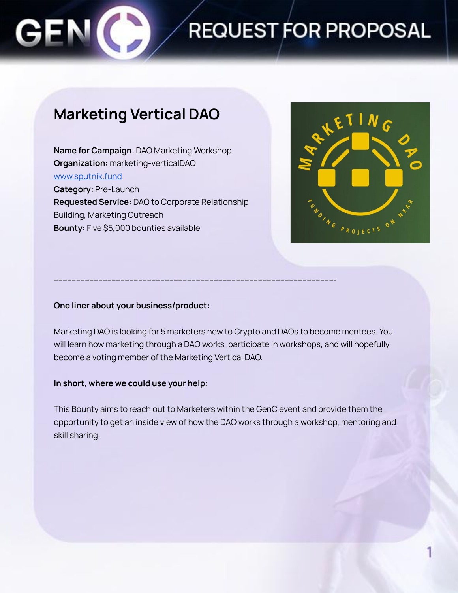

# **REQUEST FOR PROPOSAL**

## **Marketing Vertical DAO**

**Name for Campaign**: DAO Marketing Workshop **Organization:** marketing-verticalDAO [www.sputnik.fund](http://www.sputnik.fund) **Category:** Pre-Launch **Requested Service:** DAO to Corporate Relationship Building, Marketing Outreach **Bounty:** Five \$5,000 bounties available



#### **One liner about your business/product:**

Marketing DAO is looking for 5 marketers new to Crypto and DAOs to become mentees. You will learn how marketing through a DAO works, participate in workshops, and will hopefully become a voting member of the Marketing Vertical DAO.

**------------------------------------------------------------------------------------------------------------------------------**

#### **In short, where we could use your help:**

This Bounty aims to reach out to Marketers within the GenC event and provide them the opportunity to get an inside view of how the DAO works through a workshop, mentoring and skill sharing.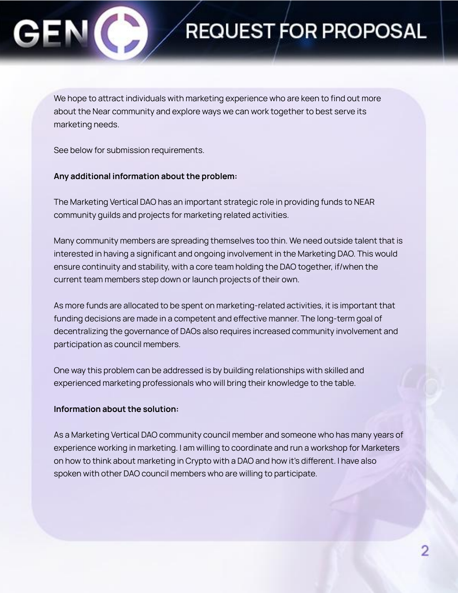# REQUEST FOR PROPOSAL

We hope to attract individuals with marketing experience who are keen to find out more about the Near community and explore ways we can work together to best serve its marketing needs.

See below for submission requirements.

### **Any additional information about the problem:**

The Marketing Vertical DAO has an important strategic role in providing funds to NEAR community guilds and projects for marketing related activities.

Many community members are spreading themselves too thin. We need outside talent that is interested in having a significant and ongoing involvement in the Marketing DAO. This would ensure continuity and stability, with a core team holding the DAO together, if/when the current team members step down or launch projects of their own.

As more funds are allocated to be spent on marketing-related activities, it is important that funding decisions are made in a competent and effective manner. The long-term goal of decentralizing the governance of DAOs also requires increased community involvement and participation as council members.

One way this problem can be addressed is by building relationships with skilled and experienced marketing professionals who will bring their knowledge to the table.

### **Information about the solution:**

As a Marketing Vertical DAO community council member and someone who has many years of experience working in marketing. I am willing to coordinate and run a workshop for Marketers on how to think about marketing in Crypto with a DAO and how it's different. I have also spoken with other DAO council members who are willing to participate.